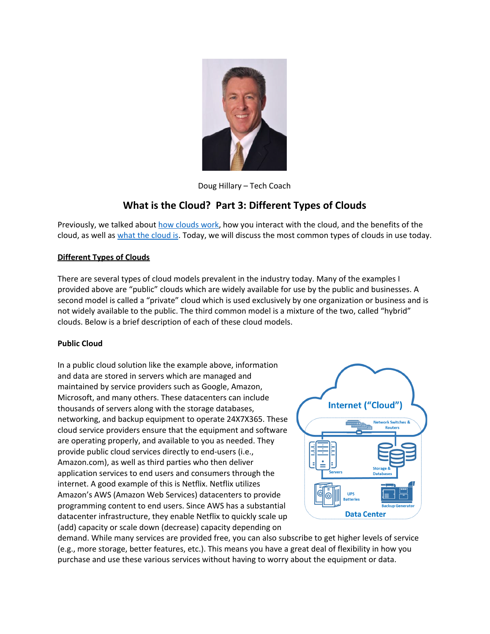

Doug Hillary – Tech Coach

# **What is the Cloud? Part 3: Different Types of Clouds**

Previously, we talked about how [clouds](https://laketravislibrary.org/wp-content/uploads/2020/08/Tech_Coach_Corner___What_is_The_Cloud_Part_2_-_2020-08-03__1_.pdf) work, how you interact with the cloud, and the benefits of the [cloud](https://laketravislibrary.org/wp-content/uploads/2020/03/Tech_Coach_Corner___What_is_The_Cloud_Part_1_-__2020-07-20.pdf), as well as what the cloud is. Today, we will discuss the most common types of clouds in use today.

# **Different Types of Clouds**

There are several types of cloud models prevalent in the industry today. Many of the examples I provided above are "public" clouds which are widely available for use by the public and businesses. A second model is called a "private" cloud which is used exclusively by one organization or business and is not widely available to the public. The third common model is a mixture of the two, called "hybrid" clouds. Below is a brief description of each of these cloud models.

# **Public Cloud**

In a public cloud solution like the example above, information and data are stored in servers which are managed and maintained by service providers such as Google, Amazon, Microsoft, and many others. These datacenters can include thousands of servers along with the storage databases, networking, and backup equipment to operate 24X7X365. These cloud service providers ensure that the equipment and software are operating properly, and available to you as needed. They provide public cloud services directly to end-users (i.e., Amazon.com), as well as third parties who then deliver application services to end users and consumers through the internet. A good example of this is Netflix. Netflix utilizes Amazon's AWS (Amazon Web Services) datacenters to provide programming content to end users. Since AWS has a substantial datacenter infrastructure, they enable Netflix to quickly scale up (add) capacity or scale down (decrease) capacity depending on



demand. While many services are provided free, you can also subscribe to get higher levels of service (e.g., more storage, better features, etc.). This means you have a great deal of flexibility in how you purchase and use these various services without having to worry about the equipment or data.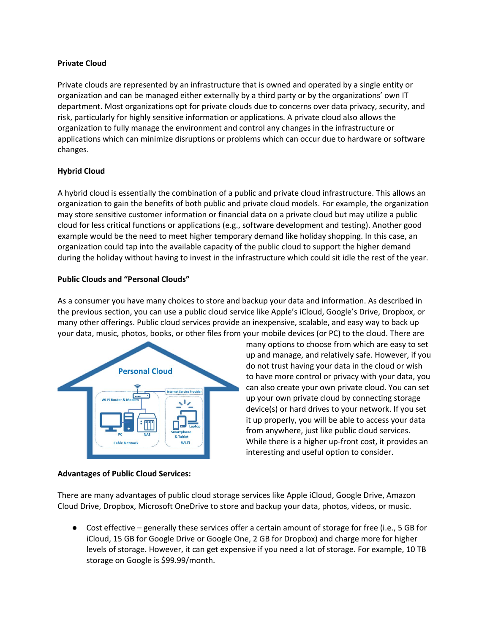#### **Private Cloud**

Private clouds are represented by an infrastructure that is owned and operated by a single entity or organization and can be managed either externally by a third party or by the organizations' own IT department. Most organizations opt for private clouds due to concerns over data privacy, security, and risk, particularly for highly sensitive information or applications. A private cloud also allows the organization to fully manage the environment and control any changes in the infrastructure or applications which can minimize disruptions or problems which can occur due to hardware or software changes.

## **Hybrid Cloud**

A hybrid cloud is essentially the combination of a public and private cloud infrastructure. This allows an organization to gain the benefits of both public and private cloud models. For example, the organization may store sensitive customer information or financial data on a private cloud but may utilize a public cloud for less critical functions or applications (e.g., software development and testing). Another good example would be the need to meet higher temporary demand like holiday shopping. In this case, an organization could tap into the available capacity of the public cloud to support the higher demand during the holiday without having to invest in the infrastructure which could sit idle the rest of the year.

## **Public Clouds and "Personal Clouds"**

As a consumer you have many choices to store and backup your data and information. As described in the previous section, you can use a public cloud service like Apple's iCloud, Google's Drive, Dropbox, or many other offerings. Public cloud services provide an inexpensive, scalable, and easy way to back up your data, music, photos, books, or other files from your mobile devices (or PC) to the cloud. There are



many options to choose from which are easy to set up and manage, and relatively safe. However, if you do not trust having your data in the cloud or wish to have more control or privacy with your data, you can also create your own private cloud. You can set up your own private cloud by connecting storage device(s) or hard drives to your network. If you set it up properly, you will be able to access your data from anywhere, just like public cloud services. While there is a higher up-front cost, it provides an interesting and useful option to consider.

### **Advantages of Public Cloud Services:**

There are many advantages of public cloud storage services like Apple iCloud, Google Drive, Amazon Cloud Drive, Dropbox, Microsoft OneDrive to store and backup your data, photos, videos, or music.

● Cost effective – generally these services offer a certain amount of storage for free (i.e., 5 GB for iCloud, 15 GB for Google Drive or Google One, 2 GB for Dropbox) and charge more for higher levels of storage. However, it can get expensive if you need a lot of storage. For example, 10 TB storage on Google is \$99.99/month.